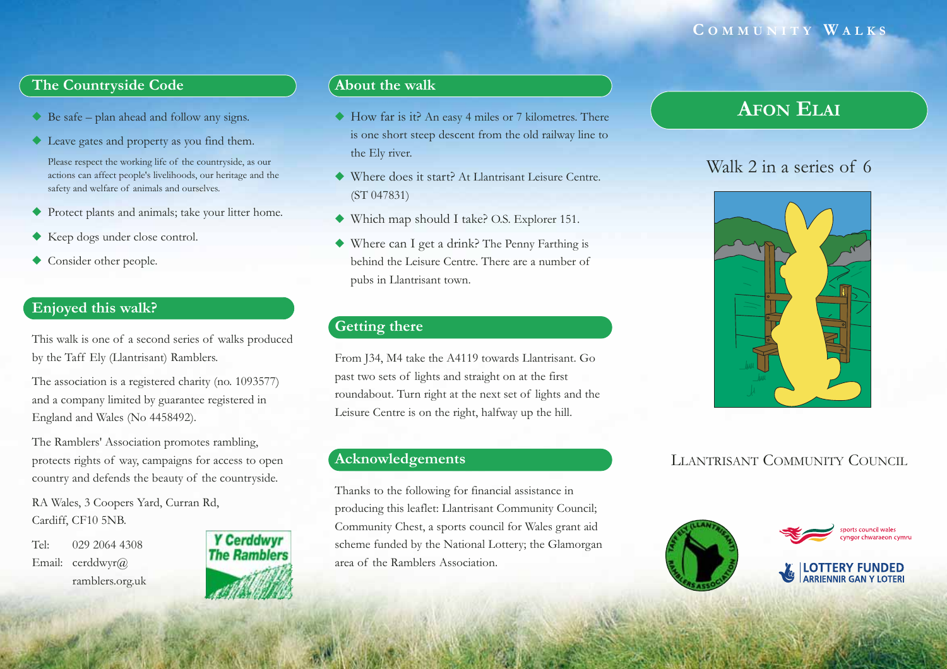### **C OMMUNITY W ALKS**

### **The Countryside Code**

- ◆ Be safe plan ahead and follow any signs.
- ◆ Leave gates and property as you find them.

Please respect the working life of the countryside, as our actions can affect people's livelihoods, our heritage and the safety and welfare of animals and ourselves.

- ◆ Protect plants and animals; take your litter home.
- ◆ Keep dogs under close control.
- ◆ Consider other people.

### **Enjoyed this walk?**

This walk is one of a second series of walks produced by the Taff Ely (Llantrisant) Ramblers.

The association is a registered charity (no. 1093577) and a company limited by guarantee registered in England and Wales (No 4458492).

The Ramblers' Association promotes rambling, protects rights of way, campaigns for access to open country and defends the beauty of the countryside.

RA Wales, 3 Coopers Yard, Curran Rd, Cardiff, CF10 5NB.

Tel: 029 2064 4308Email: cerddwyr@ ramblers.org.uk



### **About the walk**

- ◆ How far is it? An easy 4 miles or 7 kilometres. There is one short steep descent from the old railway line to the Ely river.
- ◆ Where does it start? At Llantrisant Leisure Centre. (ST 047831)
- ◆ Which map should I take? O.S. Explorer 151.
- ◆ Where can I get a drink? The Penny Farthing is behind the Leisure Centre. There are a number ofpubs in Llantrisant town.

#### **Getting there**

From J34, M4 take the A4119 towards Llantrisant. Go past two sets of lights and straight on at the first roundabout. Turn right at the next set of lights and the Leisure Centre is on the right, halfway up the hill.

### **Acknowledgements**

Thanks to the following for financial assistance in producing this leaflet: Llantrisant Community Council; Community Chest, a sports council for Wales grant aid scheme funded by the National Lottery; the Glamorgan area of the Ramblers Association.

# **AFON ELAI**

# Walk 2 in a series of 6



## LLANTRISANT COMMUNITY COUNCIL